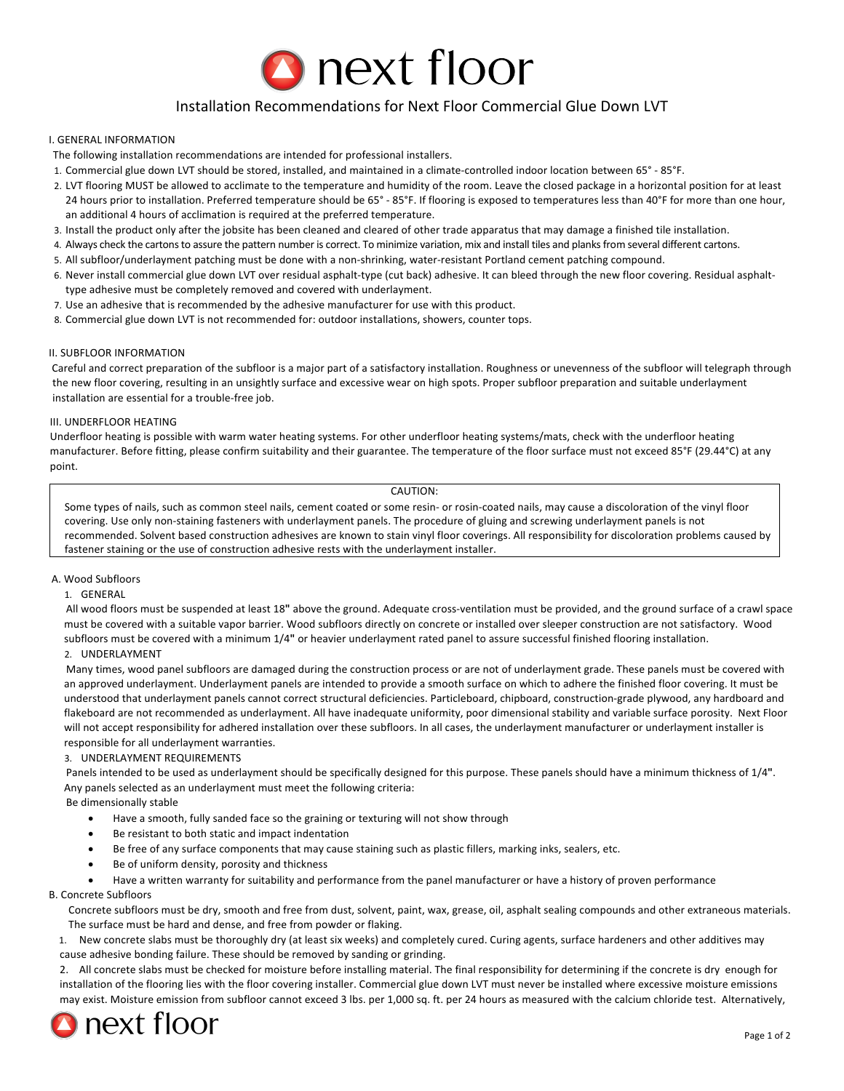

# Installation Recommendations for Next Floor Commercial Glue Down LVT

# **I. GENERAL INFORMATION**

- The following installation recommendations are intended for professional installers.
- 1. Commercial glue down LVT should be stored, installed, and maintained in a climate-controlled indoor location between 65° 85°F.
- 2. LVT flooring MUST be allowed to acclimate to the temperature and humidity of the room. Leave the closed package in a horizontal position for at least 24 hours prior to installation. Preferred temperature should be 65° - 85°F. If flooring is exposed to temperatures less than 40°F for more than one hour, an additional 4 hours of acclimation is required at the preferred temperature.
- 3. Install the product only after the jobsite has been cleaned and cleared of other trade apparatus that may damage a finished tile installation.
- 4. Always check the cartons to assure the pattern number is correct. To minimize variation, mix and install tiles and planks from several different cartons.
- 5. All subfloor/underlayment patching must be done with a non-shrinking, water-resistant Portland cement patching compound.
- 6. Never install commercial glue down LVT over residual asphalt-type (cut back) adhesive. It can bleed through the new floor covering. Residual asphalttype adhesive must be completely removed and covered with underlayment.
- 7. Use an adhesive that is recommended by the adhesive manufacturer for use with this product.
- 8. Commercial glue down LVT is not recommended for: outdoor installations, showers, counter tops.

#### **II. SUBFLOOR INFORMATION**

Careful and correct preparation of the subfloor is a major part of a satisfactory installation. Roughness or unevenness of the subfloor will telegraph through the new floor covering, resulting in an unsightly surface and excessive wear on high spots. Proper subfloor preparation and suitable underlayment installation are essential for a trouble-free job.

#### **III. UNDERFLOOR HEATING**

Underfloor heating is possible with warm water heating systems. For other underfloor heating systems/mats, check with the underfloor heating manufacturer. Before fitting, please confirm suitability and their guarantee. The temperature of the floor surface must not exceed 85°F (29.44°C) at any point.

# CAUTION:

Some types of nails, such as common steel nails, cement coated or some resin- or rosin-coated nails, may cause a discoloration of the vinyl floor covering. Use only non-staining fasteners with underlayment panels. The procedure of gluing and screwing underlayment panels is not recommended. Solvent based construction adhesives are known to stain vinyl floor coverings. All responsibility for discoloration problems caused by fastener staining or the use of construction adhesive rests with the underlayment installer.

# A. Wood Subfloors

# 1. GENERAL

All wood floors must be suspended at least 18" above the ground. Adequate cross-ventilation must be provided, and the ground surface of a crawl space must be covered with a suitable vapor barrier. Wood subfloors directly on concrete or installed over sleeper construction are not satisfactory. Wood subfloors must be covered with a minimum 1/4" or heavier underlayment rated panel to assure successful finished flooring installation. 2. UNDERLAYMENT

Many times, wood panel subfloors are damaged during the construction process or are not of underlayment grade. These panels must be covered with an approved underlayment. Underlayment panels are intended to provide a smooth surface on which to adhere the finished floor covering. It must be understood that underlayment panels cannot correct structural deficiencies. Particleboard, chipboard, construction-grade plywood, any hardboard and flakeboard are not recommended as underlayment. All have inadequate uniformity, poor dimensional stability and variable surface porosity. Next Floor will not accept responsibility for adhered installation over these subfloors. In all cases, the underlayment manufacturer or underlayment installer is responsible for all underlayment warranties.

#### 3. UNDERLAYMENT REQUIREMENTS

Panels intended to be used as underlayment should be specifically designed for this purpose. These panels should have a minimum thickness of 1/4". Any panels selected as an underlayment must meet the following criteria:

Be dimensionally stable

- Have a smooth, fully sanded face so the graining or texturing will not show through
- Be resistant to both static and impact indentation
- Be free of any surface components that may cause staining such as plastic fillers, marking inks, sealers, etc.
- Be of uniform density, porosity and thickness
- Have a written warranty for suitability and performance from the panel manufacturer or have a history of proven performance

B. Concrete Subfloors

Concrete subfloors must be dry, smooth and free from dust, solvent, paint, wax, grease, oil, asphalt sealing compounds and other extraneous materials. The surface must be hard and dense, and free from powder or flaking.

1. New concrete slabs must be thoroughly dry (at least six weeks) and completely cured. Curing agents, surface hardeners and other additives may cause adhesive bonding failure. These should be removed by sanding or grinding.

2. All concrete slabs must be checked for moisture before installing material. The final responsibility for determining if the concrete is dry enough for installation of the flooring lies with the floor covering installer. Commercial glue down LVT must never be installed where excessive moisture emissions may exist. Moisture emission from subfloor cannot exceed 3 lbs. per 1,000 sq. ft. per 24 hours as measured with the calcium chloride test. Alternatively,